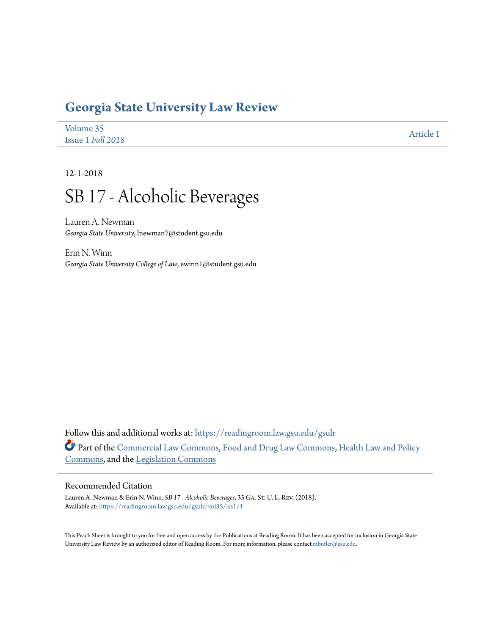## **[Georgia State University Law Review](https://readingroom.law.gsu.edu/gsulr?utm_source=readingroom.law.gsu.edu%2Fgsulr%2Fvol35%2Fiss1%2F1&utm_medium=PDF&utm_campaign=PDFCoverPages)**

| Volume 35         |           |
|-------------------|-----------|
| Issue 1 Fall 2018 | Article 1 |

12-1-2018

# SB 17 - Alcoholic Beverages

Lauren A. Newman *Georgia State University*, lnewman7@student.gsu.edu

Erin N. Winn *Georgia State University College of Law*, ewinn1@student.gsu.edu

Follow this and additional works at: [https://readingroom.law.gsu.edu/gsulr](https://readingroom.law.gsu.edu/gsulr?utm_source=readingroom.law.gsu.edu%2Fgsulr%2Fvol35%2Fiss1%2F1&utm_medium=PDF&utm_campaign=PDFCoverPages) Part of the [Commercial Law Commons](http://network.bepress.com/hgg/discipline/586?utm_source=readingroom.law.gsu.edu%2Fgsulr%2Fvol35%2Fiss1%2F1&utm_medium=PDF&utm_campaign=PDFCoverPages), [Food and Drug Law Commons,](http://network.bepress.com/hgg/discipline/844?utm_source=readingroom.law.gsu.edu%2Fgsulr%2Fvol35%2Fiss1%2F1&utm_medium=PDF&utm_campaign=PDFCoverPages) [Health Law and Policy](http://network.bepress.com/hgg/discipline/901?utm_source=readingroom.law.gsu.edu%2Fgsulr%2Fvol35%2Fiss1%2F1&utm_medium=PDF&utm_campaign=PDFCoverPages) [Commons,](http://network.bepress.com/hgg/discipline/901?utm_source=readingroom.law.gsu.edu%2Fgsulr%2Fvol35%2Fiss1%2F1&utm_medium=PDF&utm_campaign=PDFCoverPages) and the [Legislation Commons](http://network.bepress.com/hgg/discipline/859?utm_source=readingroom.law.gsu.edu%2Fgsulr%2Fvol35%2Fiss1%2F1&utm_medium=PDF&utm_campaign=PDFCoverPages)

### Recommended Citation

Lauren A. Newman & Erin N. Winn, *SB 17 - Alcoholic Beverages*, 35 Ga. St. U. L. Rev. (2018). Available at: [https://readingroom.law.gsu.edu/gsulr/vol35/iss1/1](https://readingroom.law.gsu.edu/gsulr/vol35/iss1/1?utm_source=readingroom.law.gsu.edu%2Fgsulr%2Fvol35%2Fiss1%2F1&utm_medium=PDF&utm_campaign=PDFCoverPages)

This Peach Sheet is brought to you for free and open access by the Publications at Reading Room. It has been accepted for inclusion in Georgia State University Law Review by an authorized editor of Reading Room. For more information, please contact [mbutler@gsu.edu.](mailto:mbutler@gsu.edu)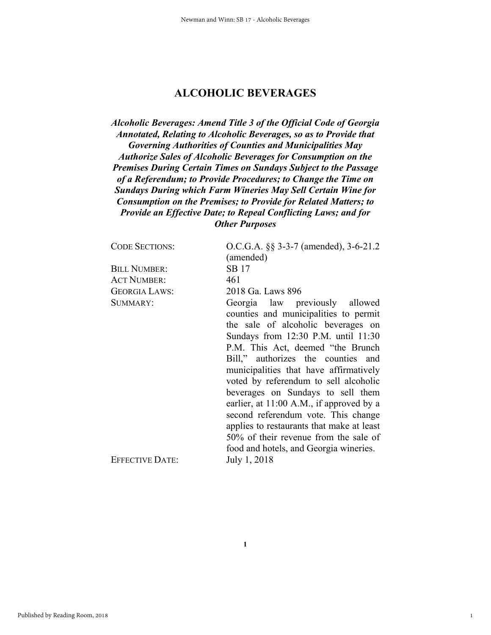### **ALCOHOLIC BEVERAGES**

*Alcoholic Beverages: Amend Title 3 of the Official Code of Georgia Annotated, Relating to Alcoholic Beverages, so as to Provide that Governing Authorities of Counties and Municipalities May Authorize Sales of Alcoholic Beverages for Consumption on the Premises During Certain Times on Sundays Subject to the Passage of a Referendum; to Provide Procedures; to Change the Time on Sundays During which Farm Wineries May Sell Certain Wine for Consumption on the Premises; to Provide for Related Matters; to Provide an Effective Date; to Repeal Conflicting Laws; and for Other Purposes* 

| <b>CODE SECTIONS:</b>  | O.C.G.A. §§ 3-3-7 (amended), 3-6-21.2<br>(amended)                                                                                                                                                                                                                                                                                                                                                                                                                                                                                |
|------------------------|-----------------------------------------------------------------------------------------------------------------------------------------------------------------------------------------------------------------------------------------------------------------------------------------------------------------------------------------------------------------------------------------------------------------------------------------------------------------------------------------------------------------------------------|
| <b>BILL NUMBER:</b>    | SB 17                                                                                                                                                                                                                                                                                                                                                                                                                                                                                                                             |
| <b>ACT NUMBER:</b>     | 461                                                                                                                                                                                                                                                                                                                                                                                                                                                                                                                               |
| <b>GEORGIA LAWS:</b>   | 2018 Ga. Laws 896                                                                                                                                                                                                                                                                                                                                                                                                                                                                                                                 |
| SUMMARY:               | Georgia law previously allowed<br>counties and municipalities to permit<br>the sale of alcoholic beverages on<br>Sundays from 12:30 P.M. until 11:30<br>P.M. This Act, deemed "the Brunch"<br>Bill," authorizes the counties and<br>municipalities that have affirmatively<br>voted by referendum to sell alcoholic<br>beverages on Sundays to sell them<br>earlier, at 11:00 A.M., if approved by a<br>second referendum vote. This change<br>applies to restaurants that make at least<br>50% of their revenue from the sale of |
| <b>EFFECTIVE DATE:</b> | food and hotels, and Georgia wineries.<br>July 1, 2018                                                                                                                                                                                                                                                                                                                                                                                                                                                                            |
|                        |                                                                                                                                                                                                                                                                                                                                                                                                                                                                                                                                   |

1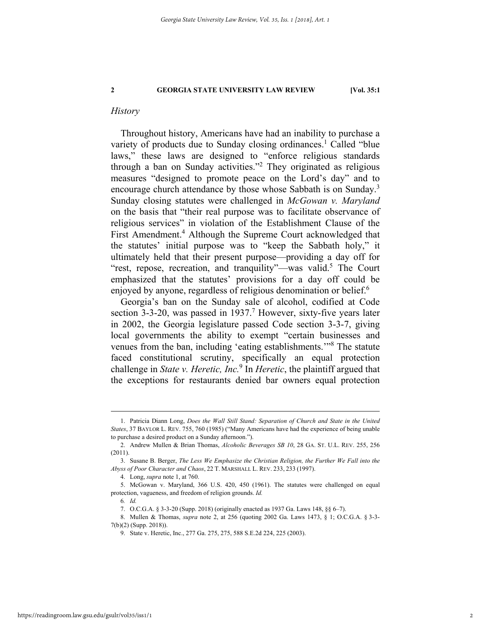#### *History*

Throughout history, Americans have had an inability to purchase a variety of products due to Sunday closing ordinances.<sup>1</sup> Called "blue laws," these laws are designed to "enforce religious standards through a ban on Sunday activities."2 They originated as religious measures "designed to promote peace on the Lord's day" and to encourage church attendance by those whose Sabbath is on Sunday.<sup>3</sup> Sunday closing statutes were challenged in *McGowan v. Maryland* on the basis that "their real purpose was to facilitate observance of religious services" in violation of the Establishment Clause of the First Amendment.<sup>4</sup> Although the Supreme Court acknowledged that the statutes' initial purpose was to "keep the Sabbath holy," it ultimately held that their present purpose—providing a day off for "rest, repose, recreation, and tranquility"—was valid.<sup>5</sup> The Court emphasized that the statutes' provisions for a day off could be enjoyed by anyone, regardless of religious denomination or belief.<sup>6</sup>

Georgia's ban on the Sunday sale of alcohol, codified at Code section 3-3-20, was passed in  $1937<sup>7</sup>$  However, sixty-five years later in 2002, the Georgia legislature passed Code section 3-3-7, giving local governments the ability to exempt "certain businesses and venues from the ban, including 'eating establishments."<sup>8</sup> The statute faced constitutional scrutiny, specifically an equal protection challenge in *State v. Heretic, Inc.*<sup>9</sup> In *Heretic*, the plaintiff argued that the exceptions for restaurants denied bar owners equal protection

 <sup>1.</sup> Patricia Diann Long, *Does the Wall Still Stand: Separation of Church and State in the United States*, 37 BAYLOR L. REV. 755, 760 (1985) ("Many Americans have had the experience of being unable to purchase a desired product on a Sunday afternoon.").

 <sup>2.</sup> Andrew Mullen & Brian Thomas, *Alcoholic Beverages SB 10*, 28 GA. ST. U.L. REV. 255, 256 (2011).

 <sup>3.</sup> Susane B. Berger, *The Less We Emphasize the Christian Religion, the Further We Fall into the Abyss of Poor Character and Chaos*, 22 T. MARSHALL L. REV. 233, 233 (1997).

 <sup>4.</sup> Long, *supra* note 1, at 760.

 <sup>5.</sup> McGowan v. Maryland, 366 U.S. 420, 450 (1961). The statutes were challenged on equal protection, vagueness, and freedom of religion grounds. *Id.*

<sup>6</sup>*. Id.*

 <sup>7.</sup> O.C.G.A. § 3-3-20 (Supp. 2018) (originally enacted as 1937 Ga. Laws 148, §§ 6–7).

 <sup>8.</sup> Mullen & Thomas, *supra* note 2, at 256 (quoting 2002 Ga. Laws 1473, § 1; O.C.G.A. § 3-3- 7(b)(2) (Supp. 2018)).

 <sup>9.</sup> State v. Heretic, Inc., 277 Ga. 275, 275, 588 S.E.2d 224, 225 (2003).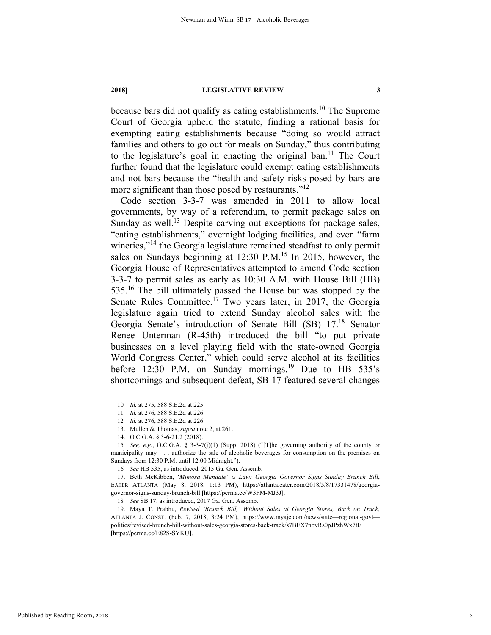because bars did not qualify as eating establishments.10 The Supreme Court of Georgia upheld the statute, finding a rational basis for exempting eating establishments because "doing so would attract families and others to go out for meals on Sunday," thus contributing to the legislature's goal in enacting the original ban.<sup>11</sup> The Court further found that the legislature could exempt eating establishments and not bars because the "health and safety risks posed by bars are more significant than those posed by restaurants."<sup>12</sup>

Code section 3-3-7 was amended in 2011 to allow local governments, by way of a referendum, to permit package sales on Sunday as well.<sup>13</sup> Despite carving out exceptions for package sales, "eating establishments," overnight lodging facilities, and even "farm wineries,"<sup>14</sup> the Georgia legislature remained steadfast to only permit sales on Sundays beginning at 12:30 P.M.<sup>15</sup> In 2015, however, the Georgia House of Representatives attempted to amend Code section 3-3-7 to permit sales as early as 10:30 A.M. with House Bill (HB) 535.<sup>16</sup> The bill ultimately passed the House but was stopped by the Senate Rules Committee.<sup>17</sup> Two years later, in 2017, the Georgia legislature again tried to extend Sunday alcohol sales with the Georgia Senate's introduction of Senate Bill (SB) 17.18 Senator Renee Unterman (R-45th) introduced the bill "to put private businesses on a level playing field with the state-owned Georgia World Congress Center," which could serve alcohol at its facilities before 12:30 P.M. on Sunday mornings.<sup>19</sup> Due to HB  $535$ 's shortcomings and subsequent defeat, SB 17 featured several changes

18*. See* SB 17, as introduced, 2017 Ga. Gen. Assemb.

 <sup>10</sup>*. Id.* at 275, 588 S.E.2d at 225.

<sup>11</sup>*. Id.* at 276, 588 S.E.2d at 226.

<sup>12</sup>*. Id.* at 276, 588 S.E.2d at 226.

 <sup>13.</sup> Mullen & Thomas, *supra* note 2, at 261.

 <sup>14.</sup> O.C.G.A. § 3-6-21.2 (2018).

<sup>15</sup>*. See, e.g.*, O.C.G.A. § 3-3-7(j)(1) (Supp. 2018) ("[T]he governing authority of the county or municipality may . . . authorize the sale of alcoholic beverages for consumption on the premises on Sundays from 12:30 P.M. until 12:00 Midnight.").

<sup>16</sup>*. See* HB 535, as introduced, 2015 Ga. Gen. Assemb.

 <sup>17.</sup> Beth McKibben, '*Mimosa Mandate' is Law: Georgia Governor Signs Sunday Brunch Bill*, EATER ATLANTA (May 8, 2018, 1:13 PM), https://atlanta.eater.com/2018/5/8/17331478/georgiagovernor-signs-sunday-brunch-bill [https://perma.cc/W3FM-MJ3J].

 <sup>19.</sup> Maya T. Prabhu, *Revised 'Brunch Bill,' Without Sales at Georgia Stores, Back on Track*, ATLANTA J. CONST. (Feb. 7, 2018, 3:24 PM), https://www.myajc.com/news/state—regional-govt politics/revised-brunch-bill-without-sales-georgia-stores-back-track/s7BEX7novRs0pJPzhWx7tI/ [https://perma.cc/E82S-SYKU].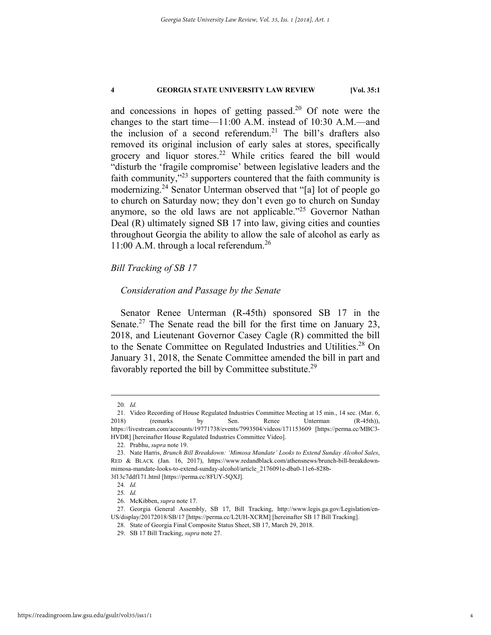and concessions in hopes of getting passed.<sup>20</sup> Of note were the changes to the start time—11:00 A.M. instead of 10:30 A.M.—and the inclusion of a second referendum.<sup>21</sup> The bill's drafters also removed its original inclusion of early sales at stores, specifically grocery and liquor stores.<sup>22</sup> While critics feared the bill would "disturb the 'fragile compromise' between legislative leaders and the faith community,"23 supporters countered that the faith community is modernizing.24 Senator Unterman observed that "[a] lot of people go to church on Saturday now; they don't even go to church on Sunday anymore, so the old laws are not applicable."<sup>25</sup> Governor Nathan Deal (R) ultimately signed SB 17 into law, giving cities and counties throughout Georgia the ability to allow the sale of alcohol as early as 11:00 A.M. through a local referendum.<sup>26</sup>

### *Bill Tracking of SB 17*

#### *Consideration and Passage by the Senate*

Senator Renee Unterman (R-45th) sponsored SB 17 in the Senate.<sup>27</sup> The Senate read the bill for the first time on January 23, 2018, and Lieutenant Governor Casey Cagle (R) committed the bill to the Senate Committee on Regulated Industries and Utilities.<sup>28</sup> On January 31, 2018, the Senate Committee amended the bill in part and favorably reported the bill by Committee substitute.<sup>29</sup>

 <sup>20</sup>*. Id.*

 <sup>21.</sup> Video Recording of House Regulated Industries Committee Meeting at 15 min., 14 sec. (Mar. 6, 2018) (remarks by Sen. Renee Unterman (R-45th)), https://livestream.com/accounts/19771738/events/7993504/videos/171153609 [https://perma.cc/MBC3- HVDR] [hereinafter House Regulated Industries Committee Video].

 <sup>22.</sup> Prabhu, *supra* note 19.

 <sup>23.</sup> Nate Harris, *Brunch Bill Breakdown: 'Mimosa Mandate' Looks to Extend Sunday Alcohol Sales*, RED & BLACK (Jan. 16, 2017), https://www.redandblack.com/athensnews/brunch-bill-breakdownmimosa-mandate-looks-to-extend-sunday-alcohol/article\_2176091e-dba0-11e6-828b-

<sup>3</sup>f13c7ddf171.html [https://perma.cc/8FUY-5QXJ].

<sup>24</sup>*. Id.*

<sup>25</sup>*. Id.*

 <sup>26.</sup> McKibben, *supra* note 17.

 <sup>27.</sup> Georgia General Assembly, SB 17, Bill Tracking, http://www.legis.ga.gov/Legislation/en-US/display/20172018/SB/17 [https://perma.cc/L2UH-XCRM] [hereinafter SB 17 Bill Tracking].

 <sup>28.</sup> State of Georgia Final Composite Status Sheet, SB 17, March 29, 2018.

 <sup>29.</sup> SB 17 Bill Tracking, *supra* note 27.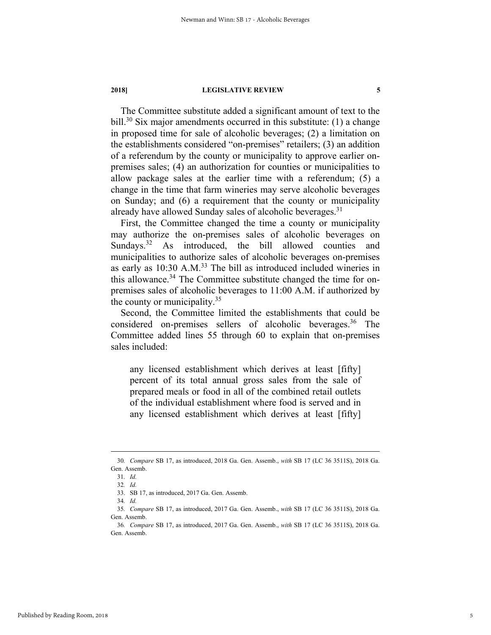The Committee substitute added a significant amount of text to the bill.<sup>30</sup> Six major amendments occurred in this substitute: (1) a change in proposed time for sale of alcoholic beverages; (2) a limitation on the establishments considered "on-premises" retailers; (3) an addition of a referendum by the county or municipality to approve earlier onpremises sales; (4) an authorization for counties or municipalities to allow package sales at the earlier time with a referendum; (5) a change in the time that farm wineries may serve alcoholic beverages on Sunday; and (6) a requirement that the county or municipality already have allowed Sunday sales of alcoholic beverages.<sup>31</sup>

First, the Committee changed the time a county or municipality may authorize the on-premises sales of alcoholic beverages on Sundays.<sup>32</sup> As introduced, the bill allowed counties and municipalities to authorize sales of alcoholic beverages on-premises as early as 10:30 A.M.<sup>33</sup> The bill as introduced included wineries in this allowance.<sup>34</sup> The Committee substitute changed the time for onpremises sales of alcoholic beverages to 11:00 A.M. if authorized by the county or municipality. $35$ 

Second, the Committee limited the establishments that could be considered on-premises sellers of alcoholic beverages.<sup>36</sup> The Committee added lines 55 through 60 to explain that on-premises sales included:

any licensed establishment which derives at least [fifty] percent of its total annual gross sales from the sale of prepared meals or food in all of the combined retail outlets of the individual establishment where food is served and in any licensed establishment which derives at least [fifty]

 <sup>30</sup>*. Compare* SB 17, as introduced, 2018 Ga. Gen. Assemb., *with* SB 17 (LC 36 3511S), 2018 Ga. Gen. Assemb.

<sup>31</sup>*. Id.* 

<sup>32</sup>*. Id.*

 <sup>33.</sup> SB 17, as introduced, 2017 Ga. Gen. Assemb.

<sup>34</sup>*. Id.* 

<sup>35</sup>*. Compare* SB 17, as introduced, 2017 Ga. Gen. Assemb., *with* SB 17 (LC 36 3511S), 2018 Ga. Gen. Assemb.

<sup>36</sup>*. Compare* SB 17, as introduced, 2017 Ga. Gen. Assemb., *with* SB 17 (LC 36 3511S), 2018 Ga. Gen. Assemb.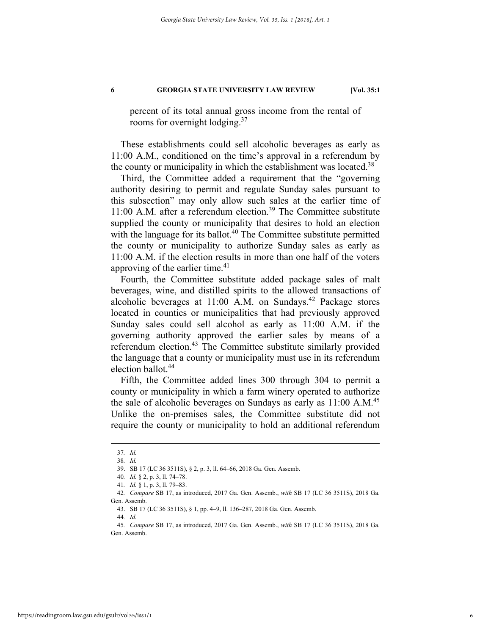percent of its total annual gross income from the rental of rooms for overnight lodging.<sup>37</sup>

These establishments could sell alcoholic beverages as early as 11:00 A.M., conditioned on the time's approval in a referendum by the county or municipality in which the establishment was located.<sup>38</sup>

Third, the Committee added a requirement that the "governing authority desiring to permit and regulate Sunday sales pursuant to this subsection" may only allow such sales at the earlier time of 11:00 A.M. after a referendum election.<sup>39</sup> The Committee substitute supplied the county or municipality that desires to hold an election with the language for its ballot.<sup>40</sup> The Committee substitute permitted the county or municipality to authorize Sunday sales as early as 11:00 A.M. if the election results in more than one half of the voters approving of the earlier time.<sup>41</sup>

Fourth, the Committee substitute added package sales of malt beverages, wine, and distilled spirits to the allowed transactions of alcoholic beverages at  $11:00$  A.M. on Sundays.<sup>42</sup> Package stores located in counties or municipalities that had previously approved Sunday sales could sell alcohol as early as 11:00 A.M. if the governing authority approved the earlier sales by means of a referendum election.<sup>43</sup> The Committee substitute similarly provided the language that a county or municipality must use in its referendum election ballot.<sup>44</sup>

Fifth, the Committee added lines 300 through 304 to permit a county or municipality in which a farm winery operated to authorize the sale of alcoholic beverages on Sundays as early as  $11:00 \text{ A.M.}^{45}$ Unlike the on-premises sales, the Committee substitute did not require the county or municipality to hold an additional referendum

44*. Id.*

 <sup>37</sup>*. Id.* 

<sup>38</sup>*. Id.* 

 <sup>39.</sup> SB 17 (LC 36 3511S), § 2, p. 3, ll. 64–66, 2018 Ga. Gen. Assemb.

<sup>40</sup>*. Id.* § 2, p. 3, ll. 74–78.

<sup>41</sup>*. Id.* § 1, p. 3, ll. 79–83.

<sup>42</sup>*. Compare* SB 17, as introduced, 2017 Ga. Gen. Assemb., *with* SB 17 (LC 36 3511S), 2018 Ga. Gen. Assemb.

 <sup>43.</sup> SB 17 (LC 36 3511S), § 1, pp. 4–9, ll. 136–287, 2018 Ga. Gen. Assemb.

<sup>45</sup>*. Compare* SB 17, as introduced, 2017 Ga. Gen. Assemb., *with* SB 17 (LC 36 3511S), 2018 Ga. Gen. Assemb.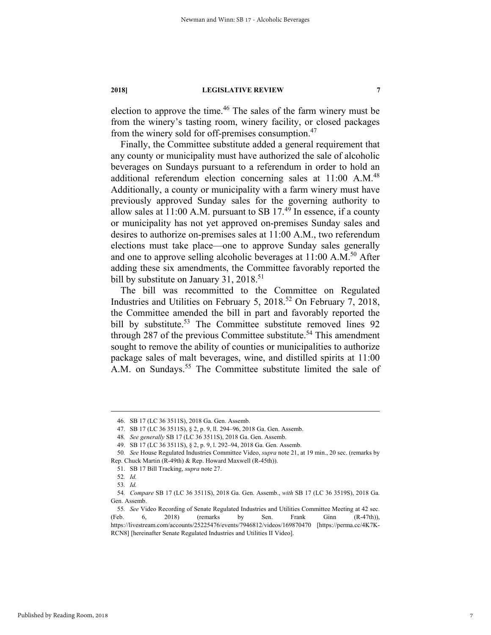election to approve the time.<sup>46</sup> The sales of the farm winery must be from the winery's tasting room, winery facility, or closed packages from the winery sold for off-premises consumption.<sup>47</sup>

Finally, the Committee substitute added a general requirement that any county or municipality must have authorized the sale of alcoholic beverages on Sundays pursuant to a referendum in order to hold an additional referendum election concerning sales at 11:00 A.M.<sup>48</sup> Additionally, a county or municipality with a farm winery must have previously approved Sunday sales for the governing authority to allow sales at  $11:00$  A.M. pursuant to SB 17.<sup>49</sup> In essence, if a county or municipality has not yet approved on-premises Sunday sales and desires to authorize on-premises sales at 11:00 A.M., two referendum elections must take place—one to approve Sunday sales generally and one to approve selling alcoholic beverages at 11:00 A.M.<sup>50</sup> After adding these six amendments, the Committee favorably reported the bill by substitute on January 31,  $2018$ <sup>51</sup>

The bill was recommitted to the Committee on Regulated Industries and Utilities on February 5, 2018.<sup>52</sup> On February 7, 2018, the Committee amended the bill in part and favorably reported the bill by substitute.<sup>53</sup> The Committee substitute removed lines 92 through 287 of the previous Committee substitute.<sup>54</sup> This amendment sought to remove the ability of counties or municipalities to authorize package sales of malt beverages, wine, and distilled spirits at 11:00 A.M. on Sundays.<sup>55</sup> The Committee substitute limited the sale of

 <sup>46.</sup> SB 17 (LC 36 3511S), 2018 Ga. Gen. Assemb.

 <sup>47.</sup> SB 17 (LC 36 3511S), § 2, p. 9, ll. 294–96, 2018 Ga. Gen. Assemb.

<sup>48</sup>*. See generally* SB 17 (LC 36 3511S), 2018 Ga. Gen. Assemb.

 <sup>49.</sup> SB 17 (LC 36 3511S), § 2, p. 9, l. 292–94, 2018 Ga. Gen. Assemb.

<sup>50</sup>*. See* House Regulated Industries Committee Video, *supra* note 21, at 19 min., 20 sec. (remarks by Rep. Chuck Martin (R-49th) & Rep. Howard Maxwell (R-45th)).

 <sup>51.</sup> SB 17 Bill Tracking, *supra* note 27.

<sup>52</sup>*. Id.*

<sup>53</sup>*. Id.* 

<sup>54</sup>*. Compare* SB 17 (LC 36 3511S), 2018 Ga. Gen. Assemb., *with* SB 17 (LC 36 3519S), 2018 Ga. Gen. Assemb.

<sup>55</sup>*. See* Video Recording of Senate Regulated Industries and Utilities Committee Meeting at 42 sec. (Feb. 6, 2018) (remarks by Sen. Frank Ginn (R-47th)), https://livestream.com/accounts/25225476/events/7946812/videos/169870470 [https://perma.cc/4K7K-RCN8] [hereinafter Senate Regulated Industries and Utilities II Video].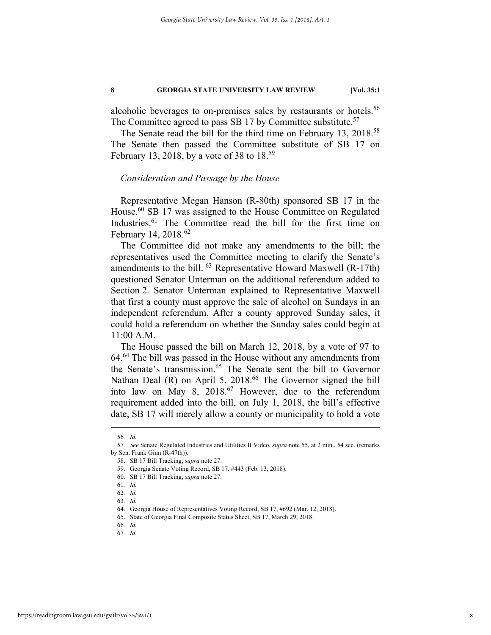alcoholic beverages to on-premises sales by restaurants or hotels.<sup>56</sup> The Committee agreed to pass SB 17 by Committee substitute.<sup>57</sup>

The Senate read the bill for the third time on February 13, 2018.<sup>58</sup> The Senate then passed the Committee substitute of SB 17 on February 13, 2018, by a vote of 38 to  $18^{59}$ 

#### *Consideration and Passage by the House*

Representative Megan Hanson (R-80th) sponsored SB 17 in the House.<sup>60</sup> SB 17 was assigned to the House Committee on Regulated Industries.<sup>61</sup> The Committee read the bill for the first time on February 14, 2018.<sup>62</sup>

The Committee did not make any amendments to the bill; the representatives used the Committee meeting to clarify the Senate's amendments to the bill.  $^{63}$  Representative Howard Maxwell (R-17th) questioned Senator Unterman on the additional referendum added to Section 2. Senator Unterman explained to Representative Maxwell that first a county must approve the sale of alcohol on Sundays in an independent referendum. After a county approved Sunday sales, it could hold a referendum on whether the Sunday sales could begin at 11:00 A.M.

The House passed the bill on March 12, 2018, by a vote of 97 to 64.64 The bill was passed in the House without any amendments from the Senate's transmission.<sup>65</sup> The Senate sent the bill to Governor Nathan Deal (R) on April 5, 2018.<sup>66</sup> The Governor signed the bill into law on May 8, 2018.67 However, due to the referendum requirement added into the bill, on July 1, 2018, the bill's effective date, SB 17 will merely allow a county or municipality to hold a vote

 <sup>56</sup>*. Id.* 

<sup>57</sup>*. See* Senate Regulated Industries and Utilities II Video, *supra* note 55, at 2 min., 54 sec. (remarks by Sen. Frank Ginn (R-47th)).

 <sup>58.</sup> SB 17 Bill Tracking, *supra* note 27.

 <sup>59.</sup> Georgia Senate Voting Record, SB 17, #443 (Feb. 13, 2018).

 <sup>60.</sup> SB 17 Bill Tracking, *supra* note 27.

<sup>61</sup>*. Id.* 

<sup>62</sup>*. Id.* 

<sup>63</sup>*. Id.* 

 <sup>64.</sup> Georgia House of Representatives Voting Record, SB 17, #692 (Mar. 12, 2018).

 <sup>65.</sup> State of Georgia Final Composite Status Sheet, SB 17, March 29, 2018.

<sup>66</sup>*. Id.* 

<sup>67</sup>*. Id.*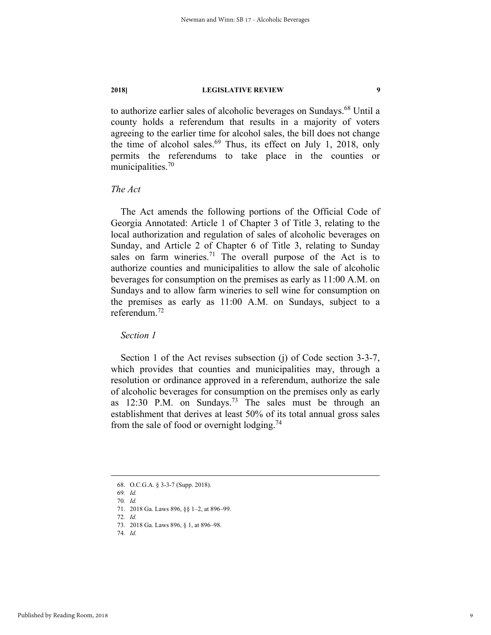to authorize earlier sales of alcoholic beverages on Sundays.<sup>68</sup> Until a county holds a referendum that results in a majority of voters agreeing to the earlier time for alcohol sales, the bill does not change the time of alcohol sales. $69$  Thus, its effect on July 1, 2018, only permits the referendums to take place in the counties or municipalities.<sup>70</sup>

### *The Act*

The Act amends the following portions of the Official Code of Georgia Annotated: Article 1 of Chapter 3 of Title 3, relating to the local authorization and regulation of sales of alcoholic beverages on Sunday, and Article 2 of Chapter 6 of Title 3, relating to Sunday sales on farm wineries.<sup>71</sup> The overall purpose of the Act is to authorize counties and municipalities to allow the sale of alcoholic beverages for consumption on the premises as early as 11:00 A.M. on Sundays and to allow farm wineries to sell wine for consumption on the premises as early as 11:00 A.M. on Sundays, subject to a referendum.<sup>72</sup>

*Section 1* 

Section 1 of the Act revises subsection (j) of Code section 3-3-7, which provides that counties and municipalities may, through a resolution or ordinance approved in a referendum, authorize the sale of alcoholic beverages for consumption on the premises only as early as  $12:30$  P.M. on Sundays.<sup>73</sup> The sales must be through an establishment that derives at least 50% of its total annual gross sales from the sale of food or overnight lodging.<sup>74</sup>

 <sup>68.</sup> O.C.G.A. § 3-3-7 (Supp. 2018).

<sup>69</sup>*. Id.*  70*. Id.* 

 <sup>71. 2018</sup> Ga. Laws 896, §§ 1–2, at 896–99.

<sup>72</sup>*. Id.* 

 <sup>73. 2018</sup> Ga. Laws 896, § 1, at 896–98.

<sup>74</sup>*. Id.*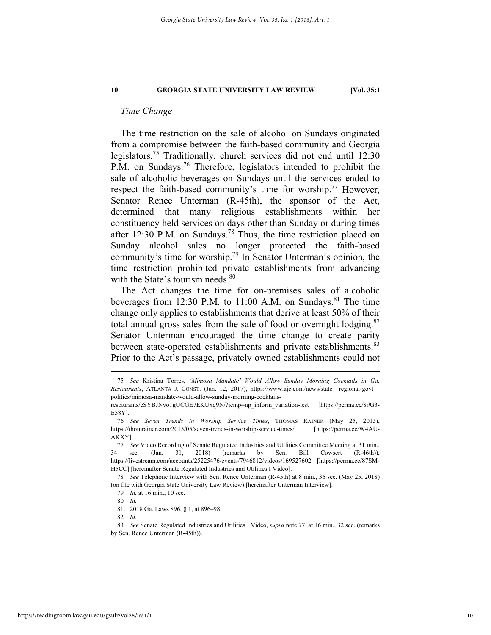#### *Time Change*

The time restriction on the sale of alcohol on Sundays originated from a compromise between the faith-based community and Georgia legislators.75 Traditionally, church services did not end until 12:30 P.M. on Sundays.<sup>76</sup> Therefore, legislators intended to prohibit the sale of alcoholic beverages on Sundays until the services ended to respect the faith-based community's time for worship.<sup>77</sup> However, Senator Renee Unterman (R-45th), the sponsor of the Act, determined that many religious establishments within her constituency held services on days other than Sunday or during times after 12:30 P.M. on Sundays.<sup>78</sup> Thus, the time restriction placed on Sunday alcohol sales no longer protected the faith-based community's time for worship.<sup>79</sup> In Senator Unterman's opinion, the time restriction prohibited private establishments from advancing with the State's tourism needs. $80$ 

The Act changes the time for on-premises sales of alcoholic beverages from 12:30 P.M. to 11:00 A.M. on Sundays.<sup>81</sup> The time change only applies to establishments that derive at least 50% of their total annual gross sales from the sale of food or overnight lodging.<sup>82</sup> Senator Unterman encouraged the time change to create parity between state-operated establishments and private establishments.<sup>83</sup> Prior to the Act's passage, privately owned establishments could not

 <sup>75</sup>*. See* Kristina Torres, *'Mimosa Mandate' Would Allow Sunday Morning Cocktails in Ga. Restaurants*, ATLANTA J. CONST. (Jan. 12, 2017), https://www.ajc.com/news/state—regional-govt politics/mimosa-mandate-would-allow-sunday-morning-cocktails-

restaurants/cSYBJNvo1gUCGE7EKUxq9N/?icmp=np\_inform\_variation-test [https://perma.cc/89G3- E58Y].

<sup>76</sup>*. See Seven Trends in Worship Service Times*, THOMAS RAINER (May 25, 2015), https://thomrainer.com/2015/05/seven-trends-in-worship-service-times/ [https://perma.cc/W4AU-AKXY].

<sup>77</sup>*. See* Video Recording of Senate Regulated Industries and Utilities Committee Meeting at 31 min., 34 sec. (Jan. 31, 2018) (remarks by Sen. Bill Cowsert (R-46th)), https://livestream.com/accounts/25225476/events/7946812/videos/169527602 [https://perma.cc/87SM-H5CC] [hereinafter Senate Regulated Industries and Utilities I Video].

<sup>78</sup>*. See* Telephone Interview with Sen. Renee Unterman (R-45th) at 8 min., 36 sec. (May 25, 2018) (on file with Georgia State University Law Review) [hereinafter Unterman Interview].

<sup>79</sup>*. Id.* at 16 min., 10 sec.

<sup>80</sup>*. Id.*  81. 2018 Ga. Laws 896, § 1, at 896–98.

<sup>82</sup>*. Id.* 

<sup>83</sup>*. See* Senate Regulated Industries and Utilities I Video, *supra* note 77, at 16 min., 32 sec. (remarks by Sen. Renee Unterman (R-45th)).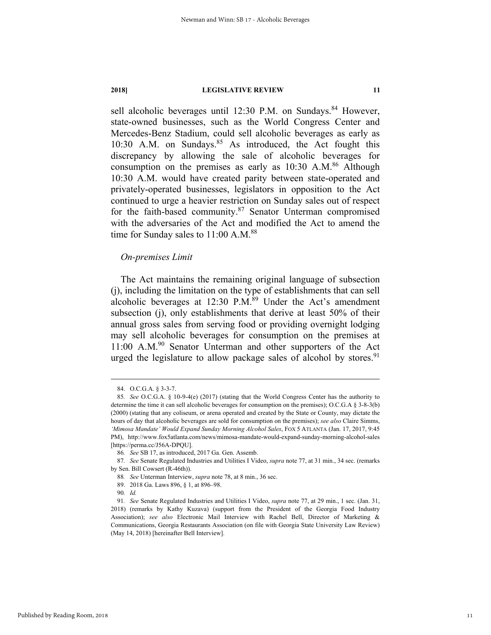sell alcoholic beverages until 12:30 P.M. on Sundays.<sup>84</sup> However, state-owned businesses, such as the World Congress Center and Mercedes-Benz Stadium, could sell alcoholic beverages as early as 10:30 A.M. on Sundays.<sup>85</sup> As introduced, the Act fought this discrepancy by allowing the sale of alcoholic beverages for consumption on the premises as early as  $10:30$  A.M.<sup>86</sup> Although 10:30 A.M. would have created parity between state-operated and privately-operated businesses, legislators in opposition to the Act continued to urge a heavier restriction on Sunday sales out of respect for the faith-based community.<sup>87</sup> Senator Unterman compromised with the adversaries of the Act and modified the Act to amend the time for Sunday sales to 11:00 A.M.<sup>88</sup>

### *On-premises Limit*

The Act maintains the remaining original language of subsection (j), including the limitation on the type of establishments that can sell alcoholic beverages at  $12:30$  P.M.<sup>89</sup> Under the Act's amendment subsection (j), only establishments that derive at least 50% of their annual gross sales from serving food or providing overnight lodging may sell alcoholic beverages for consumption on the premises at 11:00 A.M.<sup>90</sup> Senator Unterman and other supporters of the Act urged the legislature to allow package sales of alcohol by stores.<sup>91</sup>

 <sup>84.</sup> O.C.G.A. § 3-3-7.

<sup>85</sup>*. See* O.C.G.A. § 10-9-4(e) (2017) (stating that the World Congress Center has the authority to determine the time it can sell alcoholic beverages for consumption on the premises); O.C.G.A § 3-8-3(b) (2000) (stating that any coliseum, or arena operated and created by the State or County, may dictate the hours of day that alcoholic beverages are sold for consumption on the premises); *see also* Claire Simms, *'Mimosa Mandate' Would Expand Sunday Morning Alcohol Sales*, FOX 5 ATLANTA (Jan. 17, 2017, 9:45 PM), http://www.fox5atlanta.com/news/mimosa-mandate-would-expand-sunday-morning-alcohol-sales [https://perma.cc/J56A-DPQU].

<sup>86</sup>*. See* SB 17, as introduced, 2017 Ga. Gen. Assemb.

<sup>87</sup>*. See* Senate Regulated Industries and Utilities I Video, *supra* note 77, at 31 min., 34 sec. (remarks by Sen. Bill Cowsert (R-46th)).

<sup>88</sup>*. See* Unterman Interview, *supra* note 78, at 8 min., 36 sec.

 <sup>89. 2018</sup> Ga. Laws 896, § 1, at 896–98.

<sup>90</sup>*. Id.* 

<sup>91</sup>*. See* Senate Regulated Industries and Utilities I Video, *supra* note 77, at 29 min., 1 sec. (Jan. 31, 2018) (remarks by Kathy Kuzava) (support from the President of the Georgia Food Industry Association); *see also* Electronic Mail Interview with Rachel Bell, Director of Marketing & Communications, Georgia Restaurants Association (on file with Georgia State University Law Review) (May 14, 2018) [hereinafter Bell Interview].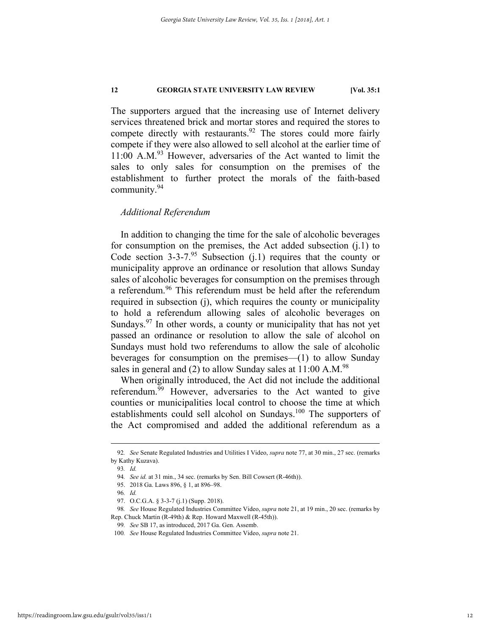The supporters argued that the increasing use of Internet delivery services threatened brick and mortar stores and required the stores to compete directly with restaurants. $92$  The stores could more fairly compete if they were also allowed to sell alcohol at the earlier time of 11:00 A.M.<sup>93</sup> However, adversaries of the Act wanted to limit the sales to only sales for consumption on the premises of the establishment to further protect the morals of the faith-based community.94

### *Additional Referendum*

In addition to changing the time for the sale of alcoholic beverages for consumption on the premises, the Act added subsection (j.1) to Code section  $3-3-7.95$  Subsection (j.1) requires that the county or municipality approve an ordinance or resolution that allows Sunday sales of alcoholic beverages for consumption on the premises through a referendum.<sup>96</sup> This referendum must be held after the referendum required in subsection (j), which requires the county or municipality to hold a referendum allowing sales of alcoholic beverages on Sundays. $97$  In other words, a county or municipality that has not yet passed an ordinance or resolution to allow the sale of alcohol on Sundays must hold two referendums to allow the sale of alcoholic beverages for consumption on the premises—(1) to allow Sunday sales in general and (2) to allow Sunday sales at  $11:00 \text{ A.M.}^{98}$ 

When originally introduced, the Act did not include the additional referendum.99 However, adversaries to the Act wanted to give counties or municipalities local control to choose the time at which establishments could sell alcohol on Sundays.<sup>100</sup> The supporters of the Act compromised and added the additional referendum as a

 <sup>92</sup>*. See* Senate Regulated Industries and Utilities I Video, *supra* note 77, at 30 min., 27 sec. (remarks by Kathy Kuzava).

<sup>93</sup>*. Id.* 

<sup>94</sup>*. See id.* at 31 min., 34 sec. (remarks by Sen. Bill Cowsert (R-46th)).

 <sup>95. 2018</sup> Ga. Laws 896, § 1, at 896–98.

<sup>96</sup>*. Id.* 

<sup>97.</sup> O.C.G.A. § 3-3-7 (j.1) (Supp. 2018).

<sup>98</sup>*. See* House Regulated Industries Committee Video, *supra* note 21, at 19 min., 20 sec. (remarks by Rep. Chuck Martin (R-49th) & Rep. Howard Maxwell (R-45th)).

<sup>99</sup>*. See* SB 17, as introduced, 2017 Ga. Gen. Assemb.

<sup>100</sup>*. See* House Regulated Industries Committee Video, *supra* note 21.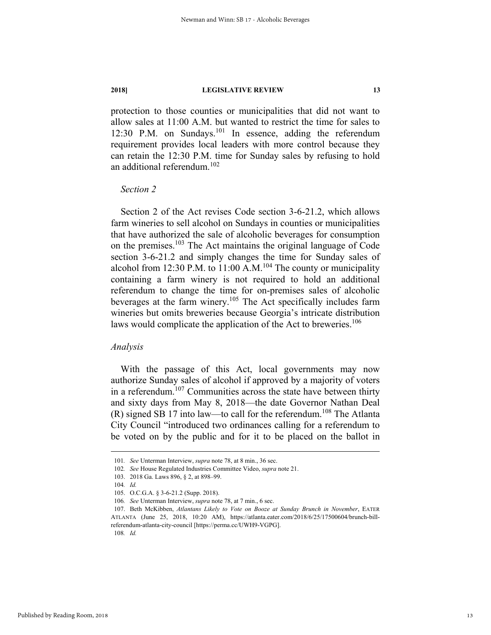protection to those counties or municipalities that did not want to allow sales at 11:00 A.M. but wanted to restrict the time for sales to 12:30 P.M. on Sundays.<sup>101</sup> In essence, adding the referendum requirement provides local leaders with more control because they can retain the 12:30 P.M. time for Sunday sales by refusing to hold an additional referendum.<sup>102</sup>

#### *Section 2*

Section 2 of the Act revises Code section 3-6-21.2, which allows farm wineries to sell alcohol on Sundays in counties or municipalities that have authorized the sale of alcoholic beverages for consumption on the premises.103 The Act maintains the original language of Code section 3-6-21.2 and simply changes the time for Sunday sales of alcohol from 12:30 P.M. to  $11:00$  A.M.<sup>104</sup> The county or municipality containing a farm winery is not required to hold an additional referendum to change the time for on-premises sales of alcoholic beverages at the farm winery.105 The Act specifically includes farm wineries but omits breweries because Georgia's intricate distribution laws would complicate the application of the Act to breweries.<sup>106</sup>

#### *Analysis*

With the passage of this Act, local governments may now authorize Sunday sales of alcohol if approved by a majority of voters in a referendum.<sup>107</sup> Communities across the state have between thirty and sixty days from May 8, 2018—the date Governor Nathan Deal  $(R)$  signed SB 17 into law—to call for the referendum.<sup>108</sup> The Atlanta City Council "introduced two ordinances calling for a referendum to be voted on by the public and for it to be placed on the ballot in

 <sup>101</sup>*. See* Unterman Interview, *supra* note 78, at 8 min., 36 sec.

<sup>102</sup>*. See* House Regulated Industries Committee Video, *supra* note 21.

 <sup>103. 2018</sup> Ga. Laws 896, § 2, at 898–99.

<sup>104</sup>*. Id.* 

 <sup>105.</sup> O.C.G.A. § 3-6-21.2 (Supp. 2018).

<sup>106</sup>*. See* Unterman Interview, *supra* note 78, at 7 min., 6 sec.

 <sup>107.</sup> Beth McKibben, *Atlantans Likely to Vote on Booze at Sunday Brunch in November*, EATER ATLANTA (June 25, 2018, 10:20 AM), https://atlanta.eater.com/2018/6/25/17500604/brunch-billreferendum-atlanta-city-council [https://perma.cc/UWH9-VGPG].

<sup>108</sup>*. Id.*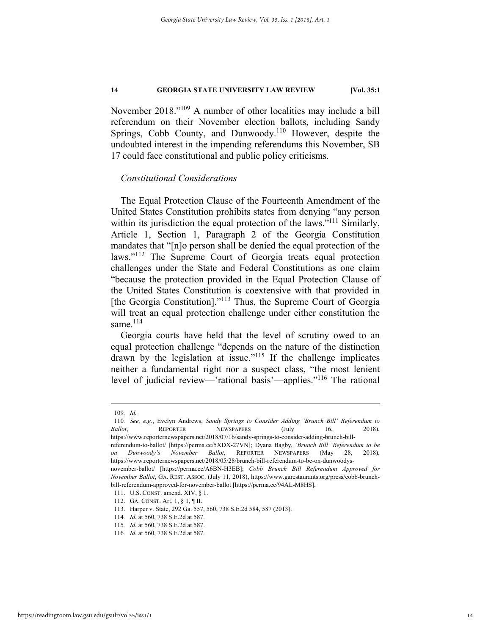November 2018."109 A number of other localities may include a bill referendum on their November election ballots, including Sandy Springs, Cobb County, and Dunwoody.<sup>110</sup> However, despite the undoubted interest in the impending referendums this November, SB 17 could face constitutional and public policy criticisms.

#### *Constitutional Considerations*

The Equal Protection Clause of the Fourteenth Amendment of the United States Constitution prohibits states from denying "any person within its jurisdiction the equal protection of the laws."<sup>111</sup> Similarly, Article 1, Section 1, Paragraph 2 of the Georgia Constitution mandates that "[n]o person shall be denied the equal protection of the laws."<sup>112</sup> The Supreme Court of Georgia treats equal protection challenges under the State and Federal Constitutions as one claim "because the protection provided in the Equal Protection Clause of the United States Constitution is coextensive with that provided in [the Georgia Constitution]."<sup>113</sup> Thus, the Supreme Court of Georgia will treat an equal protection challenge under either constitution the same $^{114}$ 

Georgia courts have held that the level of scrutiny owed to an equal protection challenge "depends on the nature of the distinction drawn by the legislation at issue."<sup>115</sup> If the challenge implicates neither a fundamental right nor a suspect class, "the most lenient level of judicial review—'rational basis'—applies."116 The rational

 <sup>109</sup>*. Id.*

<sup>110</sup>*. See, e.g.*, Evelyn Andrews, *Sandy Springs to Consider Adding 'Brunch Bill' Referendum to Ballot*, **REPORTER NEWSPAPERS** (July 16, 2018),

https://www.reporternewspapers.net/2018/07/16/sandy-springs-to-consider-adding-brunch-bill-

referendum-to-ballot/ [https://perma.cc/5XDX-27VN]; Dyana Bagby, *'Brunch Bill' Referendum to be on Dunwoody's November Ballot*, REPORTER NEWSPAPERS (May 28, 2018), https://www.reporternewspapers.net/2018/05/28/brunch-bill-referendum-to-be-on-dunwoodys-

november-ballot/ [https://perma.cc/A6BN-H3EB]; *Cobb Brunch Bill Referendum Approved for November Ballot*, GA. REST. ASSOC. (July 11, 2018), https://www.garestaurants.org/press/cobb-brunchbill-referendum-approved-for-november-ballot [https://perma.cc/94AL-M8HS].

 <sup>111.</sup> U.S. CONST. amend. XIV, § 1.

 <sup>112.</sup> GA. CONST. Art. 1, § 1, ¶ II.

 <sup>113.</sup> Harper v. State, 292 Ga. 557, 560, 738 S.E.2d 584, 587 (2013).

<sup>114</sup>*. Id.* at 560, 738 S.E.2d at 587.

<sup>115</sup>*. Id.* at 560, 738 S.E.2d at 587.

<sup>116</sup>*. Id.* at 560, 738 S.E.2d at 587.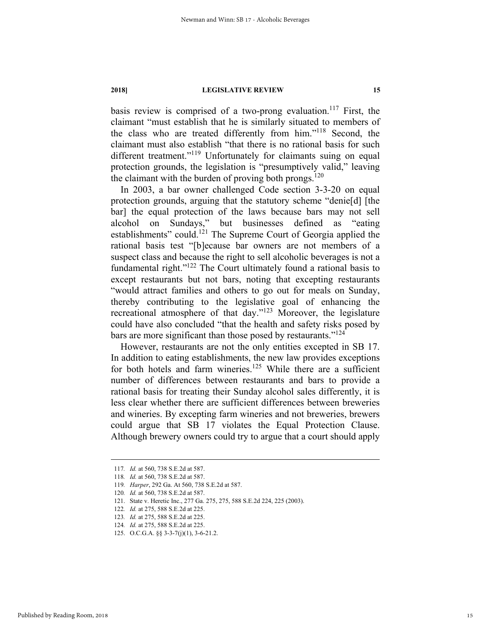basis review is comprised of a two-prong evaluation.<sup>117</sup> First, the claimant "must establish that he is similarly situated to members of the class who are treated differently from him."118 Second, the claimant must also establish "that there is no rational basis for such different treatment."<sup>119</sup> Unfortunately for claimants suing on equal protection grounds, the legislation is "presumptively valid," leaving the claimant with the burden of proving both prongs.<sup>120</sup>

In 2003, a bar owner challenged Code section 3-3-20 on equal protection grounds, arguing that the statutory scheme "denie[d] [the bar] the equal protection of the laws because bars may not sell alcohol on Sundays," but businesses defined as "eating establishments" could.<sup>121</sup> The Supreme Court of Georgia applied the rational basis test "[b]ecause bar owners are not members of a suspect class and because the right to sell alcoholic beverages is not a fundamental right."122 The Court ultimately found a rational basis to except restaurants but not bars, noting that excepting restaurants "would attract families and others to go out for meals on Sunday, thereby contributing to the legislative goal of enhancing the recreational atmosphere of that day."123 Moreover, the legislature could have also concluded "that the health and safety risks posed by bars are more significant than those posed by restaurants."<sup>124</sup>

However, restaurants are not the only entities excepted in SB 17. In addition to eating establishments, the new law provides exceptions for both hotels and farm wineries.<sup>125</sup> While there are a sufficient number of differences between restaurants and bars to provide a rational basis for treating their Sunday alcohol sales differently, it is less clear whether there are sufficient differences between breweries and wineries. By excepting farm wineries and not breweries, brewers could argue that SB 17 violates the Equal Protection Clause. Although brewery owners could try to argue that a court should apply

 <sup>117</sup>*. Id.* at 560, 738 S.E.2d at 587.

<sup>118</sup>*. Id.* at 560, 738 S.E.2d at 587.

<sup>119</sup>*. Harper*, 292 Ga. At 560, 738 S.E.2d at 587.

<sup>120</sup>*. Id.* at 560, 738 S.E.2d at 587.

 <sup>121.</sup> State v. Heretic Inc., 277 Ga. 275, 275, 588 S.E.2d 224, 225 (2003).

<sup>122</sup>*. Id.* at 275, 588 S.E.2d at 225.

<sup>123</sup>*. Id.* at 275, 588 S.E.2d at 225.

<sup>124</sup>*. Id.* at 275, 588 S.E.2d at 225.

 <sup>125.</sup> O.C.G.A. §§ 3-3-7(j)(1), 3-6-21.2.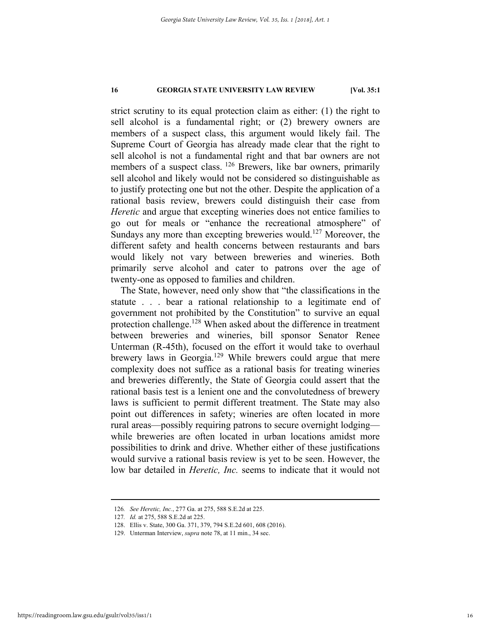strict scrutiny to its equal protection claim as either: (1) the right to sell alcohol is a fundamental right; or (2) brewery owners are members of a suspect class, this argument would likely fail. The Supreme Court of Georgia has already made clear that the right to sell alcohol is not a fundamental right and that bar owners are not members of a suspect class. <sup>126</sup> Brewers, like bar owners, primarily sell alcohol and likely would not be considered so distinguishable as to justify protecting one but not the other. Despite the application of a rational basis review, brewers could distinguish their case from *Heretic* and argue that excepting wineries does not entice families to go out for meals or "enhance the recreational atmosphere" of Sundays any more than excepting breweries would.<sup>127</sup> Moreover, the different safety and health concerns between restaurants and bars would likely not vary between breweries and wineries. Both primarily serve alcohol and cater to patrons over the age of twenty-one as opposed to families and children.

The State, however, need only show that "the classifications in the statute . . . bear a rational relationship to a legitimate end of government not prohibited by the Constitution" to survive an equal protection challenge.128 When asked about the difference in treatment between breweries and wineries, bill sponsor Senator Renee Unterman (R-45th), focused on the effort it would take to overhaul brewery laws in Georgia.<sup>129</sup> While brewers could argue that mere complexity does not suffice as a rational basis for treating wineries and breweries differently, the State of Georgia could assert that the rational basis test is a lenient one and the convolutedness of brewery laws is sufficient to permit different treatment. The State may also point out differences in safety; wineries are often located in more rural areas—possibly requiring patrons to secure overnight lodging while breweries are often located in urban locations amidst more possibilities to drink and drive. Whether either of these justifications would survive a rational basis review is yet to be seen. However, the low bar detailed in *Heretic, Inc.* seems to indicate that it would not

 <sup>126</sup>*. See Heretic, Inc.*, 277 Ga. at 275, 588 S.E.2d at 225.

<sup>127</sup>*. Id.* at 275, 588 S.E.2d at 225.

 <sup>128.</sup> Ellis v. State, 300 Ga. 371, 379, 794 S.E.2d 601, 608 (2016).

 <sup>129.</sup> Unterman Interview, *supra* note 78, at 11 min., 34 sec.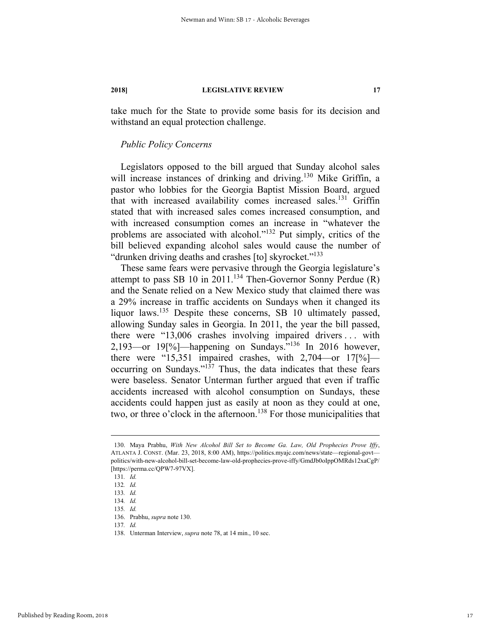take much for the State to provide some basis for its decision and withstand an equal protection challenge.

### *Public Policy Concerns*

Legislators opposed to the bill argued that Sunday alcohol sales will increase instances of drinking and driving.<sup>130</sup> Mike Griffin, a pastor who lobbies for the Georgia Baptist Mission Board, argued that with increased availability comes increased sales.<sup>131</sup> Griffin stated that with increased sales comes increased consumption, and with increased consumption comes an increase in "whatever the problems are associated with alcohol."132 Put simply, critics of the bill believed expanding alcohol sales would cause the number of "drunken driving deaths and crashes [to] skyrocket."<sup>133</sup>

These same fears were pervasive through the Georgia legislature's attempt to pass SB 10 in 2011.<sup>134</sup> Then-Governor Sonny Perdue (R) and the Senate relied on a New Mexico study that claimed there was a 29% increase in traffic accidents on Sundays when it changed its liquor laws.<sup>135</sup> Despite these concerns, SB 10 ultimately passed, allowing Sunday sales in Georgia. In 2011, the year the bill passed, there were "13,006 crashes involving impaired drivers . . . with 2,193—or 19[%]—happening on Sundays."136 In 2016 however, there were "15,351 impaired crashes, with 2,704—or 17[%] occurring on Sundays." $137$  Thus, the data indicates that these fears were baseless. Senator Unterman further argued that even if traffic accidents increased with alcohol consumption on Sundays, these accidents could happen just as easily at noon as they could at one, two, or three o'clock in the afternoon.<sup>138</sup> For those municipalities that

Published by Reading Room, 2018

 <sup>130.</sup> Maya Prabhu, *With New Alcohol Bill Set to Become Ga. Law, Old Prophecies Prove Iffy*, ATLANTA J. CONST. (Mar. 23, 2018, 8:00 AM), https://politics.myajc.com/news/state—regional-govt politics/with-new-alcohol-bill-set-become-law-old-prophecies-prove-iffy/GmdJb0oIppOMRds12xaCgP/ [https://perma.cc/QPW7-97VX].

<sup>131</sup>*. Id.*

<sup>132</sup>*. Id.* 

<sup>133</sup>*. Id.*

<sup>134</sup>*. Id.*

<sup>135</sup>*. Id.*

 <sup>136.</sup> Prabhu, *supra* note 130.

<sup>137</sup>*. Id.*

 <sup>138.</sup> Unterman Interview, *supra* note 78, at 14 min., 10 sec.